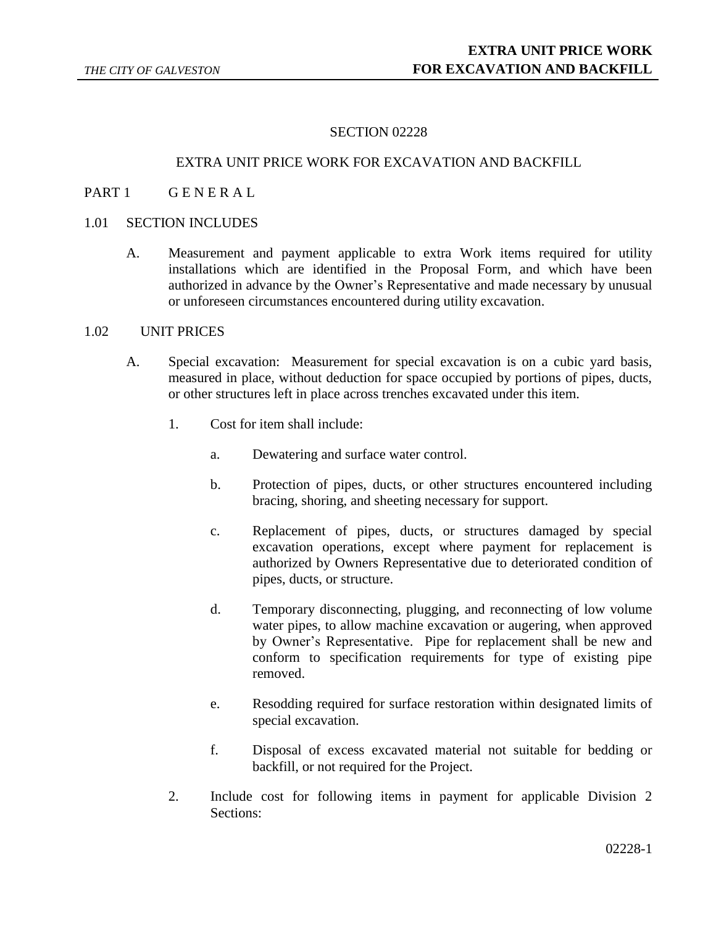# SECTION 02228

### EXTRA UNIT PRICE WORK FOR EXCAVATION AND BACKFILL

## PART 1 GENERAL

### 1.01 SECTION INCLUDES

A. Measurement and payment applicable to extra Work items required for utility installations which are identified in the Proposal Form, and which have been authorized in advance by the Owner's Representative and made necessary by unusual or unforeseen circumstances encountered during utility excavation.

#### 1.02 UNIT PRICES

- A. Special excavation: Measurement for special excavation is on a cubic yard basis, measured in place, without deduction for space occupied by portions of pipes, ducts, or other structures left in place across trenches excavated under this item.
	- 1. Cost for item shall include:
		- a. Dewatering and surface water control.
		- b. Protection of pipes, ducts, or other structures encountered including bracing, shoring, and sheeting necessary for support.
		- c. Replacement of pipes, ducts, or structures damaged by special excavation operations, except where payment for replacement is authorized by Owners Representative due to deteriorated condition of pipes, ducts, or structure.
		- d. Temporary disconnecting, plugging, and reconnecting of low volume water pipes, to allow machine excavation or augering, when approved by Owner's Representative. Pipe for replacement shall be new and conform to specification requirements for type of existing pipe removed.
		- e. Resodding required for surface restoration within designated limits of special excavation.
		- f. Disposal of excess excavated material not suitable for bedding or backfill, or not required for the Project.
	- 2. Include cost for following items in payment for applicable Division 2 Sections: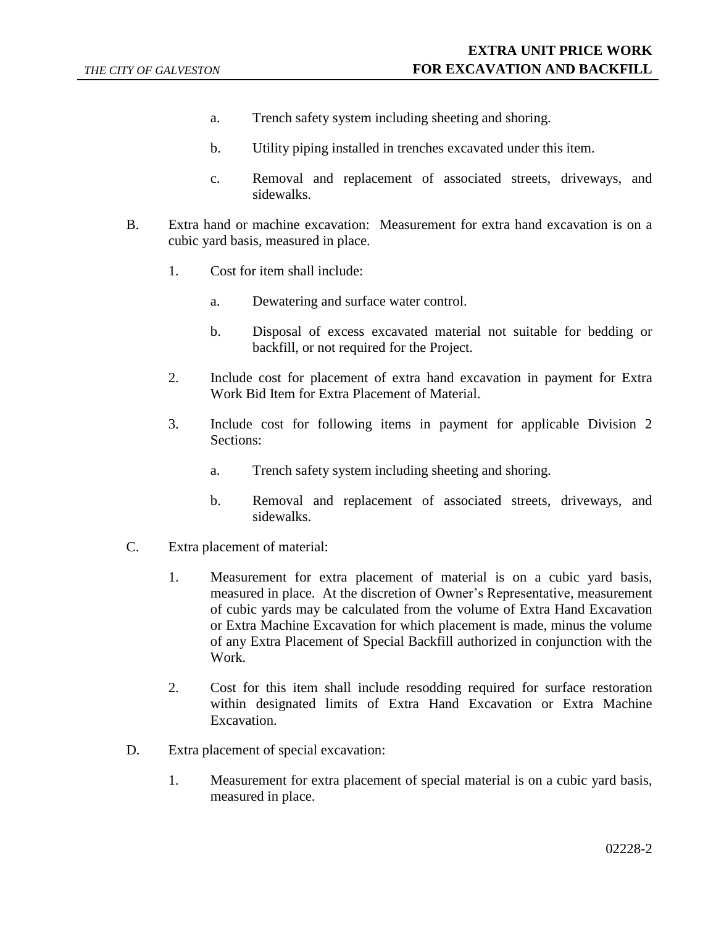- a. Trench safety system including sheeting and shoring.
- b. Utility piping installed in trenches excavated under this item.
- c. Removal and replacement of associated streets, driveways, and sidewalks.
- B. Extra hand or machine excavation: Measurement for extra hand excavation is on a cubic yard basis, measured in place.
	- 1. Cost for item shall include:
		- a. Dewatering and surface water control.
		- b. Disposal of excess excavated material not suitable for bedding or backfill, or not required for the Project.
	- 2. Include cost for placement of extra hand excavation in payment for Extra Work Bid Item for Extra Placement of Material.
	- 3. Include cost for following items in payment for applicable Division 2 Sections:
		- a. Trench safety system including sheeting and shoring.
		- b. Removal and replacement of associated streets, driveways, and sidewalks.
- C. Extra placement of material:
	- 1. Measurement for extra placement of material is on a cubic yard basis, measured in place. At the discretion of Owner's Representative, measurement of cubic yards may be calculated from the volume of Extra Hand Excavation or Extra Machine Excavation for which placement is made, minus the volume of any Extra Placement of Special Backfill authorized in conjunction with the Work.
	- 2. Cost for this item shall include resodding required for surface restoration within designated limits of Extra Hand Excavation or Extra Machine Excavation.
- D. Extra placement of special excavation:
	- 1. Measurement for extra placement of special material is on a cubic yard basis, measured in place.